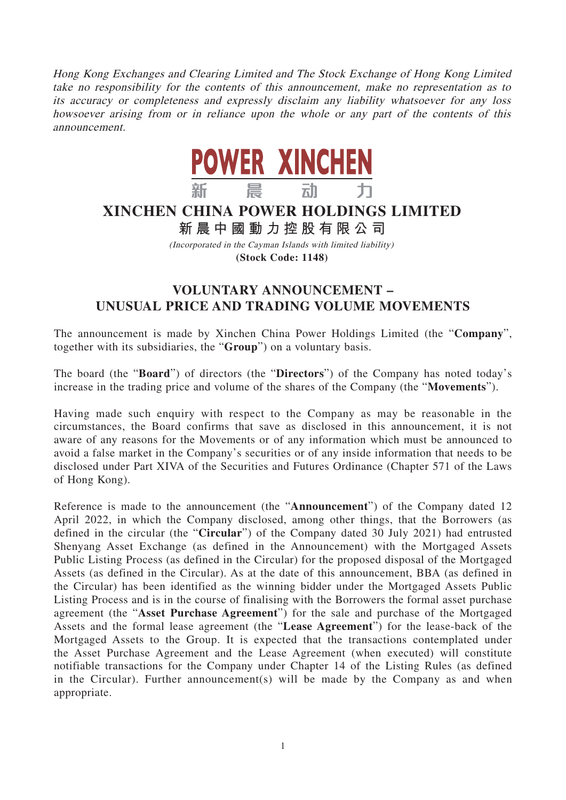Hong Kong Exchanges and Clearing Limited and The Stock Exchange of Hong Kong Limited take no responsibility for the contents of this announcement, make no representation as to its accuracy or completeness and expressly disclaim any liability whatsoever for any loss howsoever arising from or in reliance upon the whole or any part of the contents of this announcement.



## **XINCHEN CHINA POWER HOLDINGS LIMITED**

**新晨中國動力控股有限公 司**

(Incorporated in the Cayman Islands with limited liability) **(Stock Code: 1148)**

## **VOLUNTARY ANNOUNCEMENT – UNUSUAL PRICE AND TRADING VOLUME MOVEMENTS**

The announcement is made by Xinchen China Power Holdings Limited (the "**Company**", together with its subsidiaries, the "**Group**") on a voluntary basis.

The board (the "**Board**") of directors (the "**Directors**") of the Company has noted today's increase in the trading price and volume of the shares of the Company (the "**Movements**").

Having made such enquiry with respect to the Company as may be reasonable in the circumstances, the Board confirms that save as disclosed in this announcement, it is not aware of any reasons for the Movements or of any information which must be announced to avoid a false market in the Company's securities or of any inside information that needs to be disclosed under Part XIVA of the Securities and Futures Ordinance (Chapter 571 of the Laws of Hong Kong).

Reference is made to the announcement (the "**Announcement**") of the Company dated 12 April 2022, in which the Company disclosed, among other things, that the Borrowers (as defined in the circular (the "**Circular**") of the Company dated 30 July 2021) had entrusted Shenyang Asset Exchange (as defined in the Announcement) with the Mortgaged Assets Public Listing Process (as defined in the Circular) for the proposed disposal of the Mortgaged Assets (as defined in the Circular). As at the date of this announcement, BBA (as defined in the Circular) has been identified as the winning bidder under the Mortgaged Assets Public Listing Process and is in the course of finalising with the Borrowers the formal asset purchase agreement (the "**Asset Purchase Agreement**") for the sale and purchase of the Mortgaged Assets and the formal lease agreement (the "**Lease Agreement**") for the lease-back of the Mortgaged Assets to the Group. It is expected that the transactions contemplated under the Asset Purchase Agreement and the Lease Agreement (when executed) will constitute notifiable transactions for the Company under Chapter 14 of the Listing Rules (as defined in the Circular). Further announcement(s) will be made by the Company as and when appropriate.